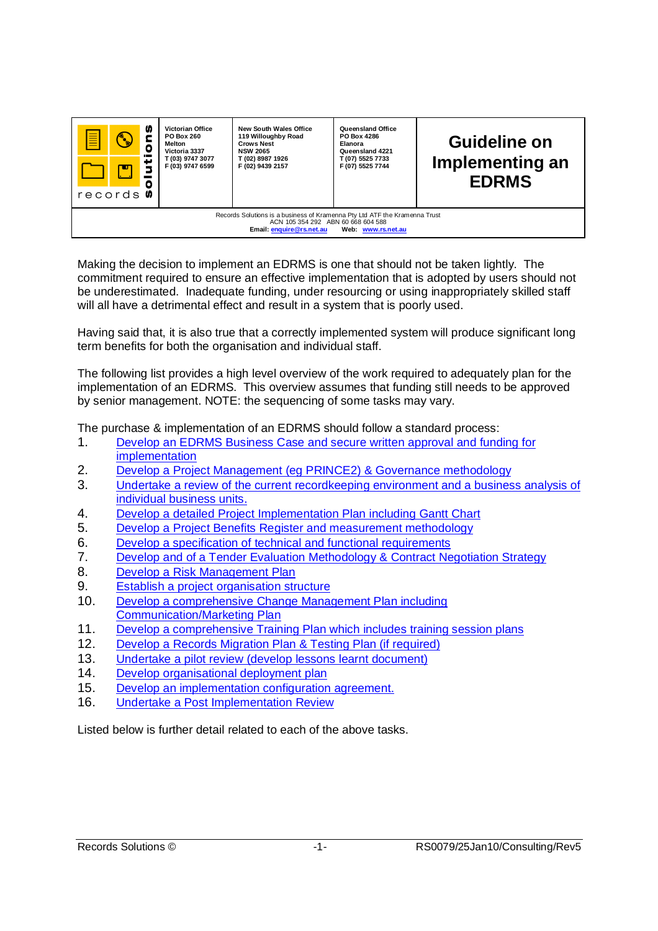

Making the decision to implement an EDRMS is one that should not be taken lightly. The commitment required to ensure an effective implementation that is adopted by users should not be underestimated. Inadequate funding, under resourcing or using inappropriately skilled staff will all have a detrimental effect and result in a system that is poorly used.

Having said that, it is also true that a correctly implemented system will produce significant long term benefits for both the organisation and individual staff.

The following list provides a high level overview of the work required to adequately plan for the implementation of an EDRMS. This overview assumes that funding still needs to be approved by senior management. NOTE: the sequencing of some tasks may vary.

The purchase & implementation of an EDRMS should follow a standard process:

- 1. Develop an EDRMS Business Case and secure written approval and funding for implementation
- 2. Develop a Project Management (eg PRINCE2) & Governance methodology
- 3. Undertake a review of the current recordkeeping environment and a business analysis of individual business units.
- 4. Develop a detailed Project Implementation Plan including Gantt Chart
- 5. Develop a Project Benefits Register and measurement methodology
- 6. Develop a specification of technical and functional requirements
- 7. Develop and of a Tender Evaluation Methodology & Contract Negotiation Strategy
- 8. Develop a Risk Management Plan
- 9. Establish a project organisation structure
- 10. Develop a comprehensive Change Management Plan including Communication/Marketing Plan
- 11. Develop a comprehensive Training Plan which includes training session plans
- 12. Develop a Records Migration Plan & Testing Plan (if required)
- 13. Undertake a pilot review (develop lessons learnt document)
- 14. Develop organisational deployment plan
- 15. Develop an implementation configuration agreement.
- 16. Undertake a Post Implementation Review

Listed below is further detail related to each of the above tasks.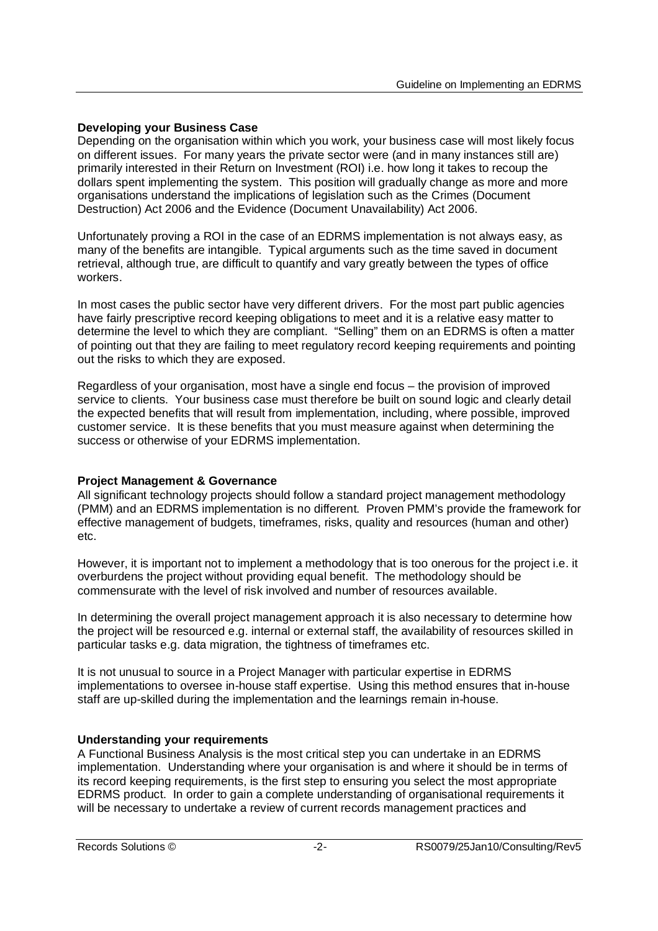## **Developing your Business Case**

Depending on the organisation within which you work, your business case will most likely focus on different issues. For many years the private sector were (and in many instances still are) primarily interested in their Return on Investment (ROI) i.e. how long it takes to recoup the dollars spent implementing the system. This position will gradually change as more and more organisations understand the implications of legislation such as the Crimes (Document Destruction) Act 2006 and the Evidence (Document Unavailability) Act 2006.

Unfortunately proving a ROI in the case of an EDRMS implementation is not always easy, as many of the benefits are intangible. Typical arguments such as the time saved in document retrieval, although true, are difficult to quantify and vary greatly between the types of office workers.

In most cases the public sector have very different drivers. For the most part public agencies have fairly prescriptive record keeping obligations to meet and it is a relative easy matter to determine the level to which they are compliant. "Selling" them on an EDRMS is often a matter of pointing out that they are failing to meet regulatory record keeping requirements and pointing out the risks to which they are exposed.

Regardless of your organisation, most have a single end focus – the provision of improved service to clients. Your business case must therefore be built on sound logic and clearly detail the expected benefits that will result from implementation, including, where possible, improved customer service. It is these benefits that you must measure against when determining the success or otherwise of your EDRMS implementation.

#### **Project Management & Governance**

All significant technology projects should follow a standard project management methodology (PMM) and an EDRMS implementation is no different. Proven PMM's provide the framework for effective management of budgets, timeframes, risks, quality and resources (human and other) etc.

However, it is important not to implement a methodology that is too onerous for the project i.e. it overburdens the project without providing equal benefit. The methodology should be commensurate with the level of risk involved and number of resources available.

In determining the overall project management approach it is also necessary to determine how the project will be resourced e.g. internal or external staff, the availability of resources skilled in particular tasks e.g. data migration, the tightness of timeframes etc.

It is not unusual to source in a Project Manager with particular expertise in EDRMS implementations to oversee in-house staff expertise. Using this method ensures that in-house staff are up-skilled during the implementation and the learnings remain in-house.

#### **Understanding your requirements**

A Functional Business Analysis is the most critical step you can undertake in an EDRMS implementation. Understanding where your organisation is and where it should be in terms of its record keeping requirements, is the first step to ensuring you select the most appropriate EDRMS product. In order to gain a complete understanding of organisational requirements it will be necessary to undertake a review of current records management practices and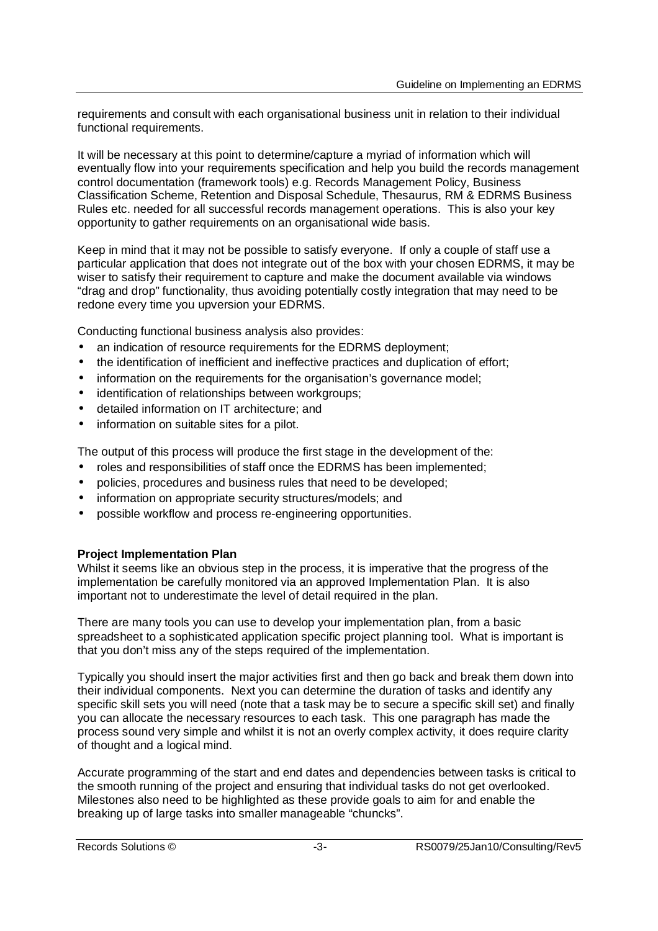requirements and consult with each organisational business unit in relation to their individual functional requirements.

It will be necessary at this point to determine/capture a myriad of information which will eventually flow into your requirements specification and help you build the records management control documentation (framework tools) e.g. Records Management Policy, Business Classification Scheme, Retention and Disposal Schedule, Thesaurus, RM & EDRMS Business Rules etc. needed for all successful records management operations. This is also your key opportunity to gather requirements on an organisational wide basis.

Keep in mind that it may not be possible to satisfy everyone. If only a couple of staff use a particular application that does not integrate out of the box with your chosen EDRMS, it may be wiser to satisfy their requirement to capture and make the document available via windows "drag and drop" functionality, thus avoiding potentially costly integration that may need to be redone every time you upversion your EDRMS.

Conducting functional business analysis also provides:

- an indication of resource requirements for the EDRMS deployment:
- the identification of inefficient and ineffective practices and duplication of effort;
- information on the requirements for the organisation's governance model:
- identification of relationships between workgroups;
- detailed information on IT architecture; and
- information on suitable sites for a pilot.

The output of this process will produce the first stage in the development of the:

- roles and responsibilities of staff once the EDRMS has been implemented;
- policies, procedures and business rules that need to be developed;
- information on appropriate security structures/models; and
- possible workflow and process re-engineering opportunities.

#### **Project Implementation Plan**

Whilst it seems like an obvious step in the process, it is imperative that the progress of the implementation be carefully monitored via an approved Implementation Plan. It is also important not to underestimate the level of detail required in the plan.

There are many tools you can use to develop your implementation plan, from a basic spreadsheet to a sophisticated application specific project planning tool. What is important is that you don't miss any of the steps required of the implementation.

Typically you should insert the major activities first and then go back and break them down into their individual components. Next you can determine the duration of tasks and identify any specific skill sets you will need (note that a task may be to secure a specific skill set) and finally you can allocate the necessary resources to each task. This one paragraph has made the process sound very simple and whilst it is not an overly complex activity, it does require clarity of thought and a logical mind.

Accurate programming of the start and end dates and dependencies between tasks is critical to the smooth running of the project and ensuring that individual tasks do not get overlooked. Milestones also need to be highlighted as these provide goals to aim for and enable the breaking up of large tasks into smaller manageable "chuncks".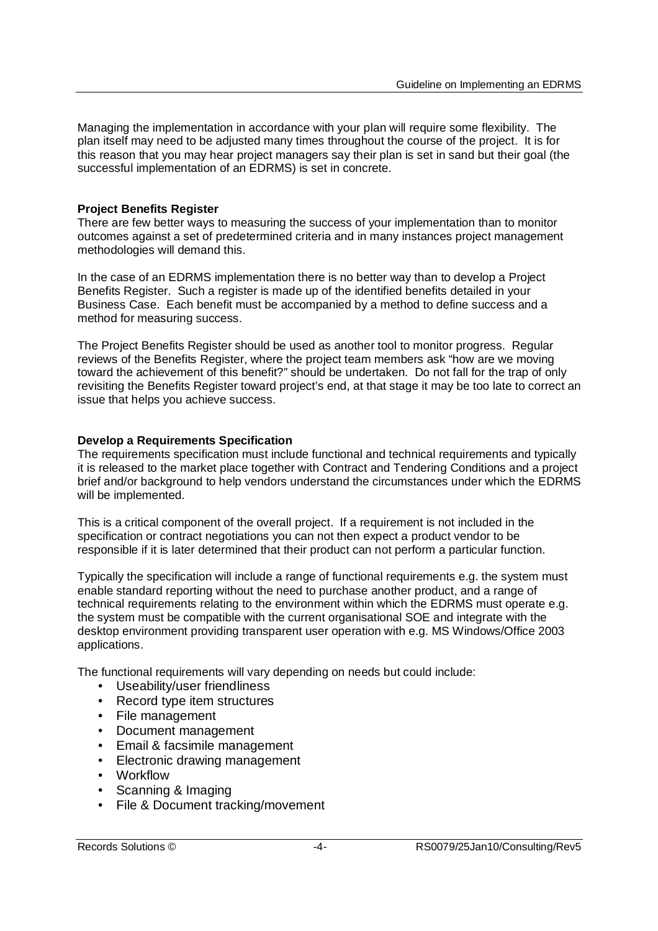Managing the implementation in accordance with your plan will require some flexibility. The plan itself may need to be adjusted many times throughout the course of the project. It is for this reason that you may hear project managers say their plan is set in sand but their goal (the successful implementation of an EDRMS) is set in concrete.

## **Project Benefits Register**

There are few better ways to measuring the success of your implementation than to monitor outcomes against a set of predetermined criteria and in many instances project management methodologies will demand this.

In the case of an EDRMS implementation there is no better way than to develop a Project Benefits Register. Such a register is made up of the identified benefits detailed in your Business Case. Each benefit must be accompanied by a method to define success and a method for measuring success.

The Project Benefits Register should be used as another tool to monitor progress. Regular reviews of the Benefits Register, where the project team members ask "how are we moving toward the achievement of this benefit?" should be undertaken. Do not fall for the trap of only revisiting the Benefits Register toward project's end, at that stage it may be too late to correct an issue that helps you achieve success.

## **Develop a Requirements Specification**

The requirements specification must include functional and technical requirements and typically it is released to the market place together with Contract and Tendering Conditions and a project brief and/or background to help vendors understand the circumstances under which the EDRMS will be implemented.

This is a critical component of the overall project. If a requirement is not included in the specification or contract negotiations you can not then expect a product vendor to be responsible if it is later determined that their product can not perform a particular function.

Typically the specification will include a range of functional requirements e.g. the system must enable standard reporting without the need to purchase another product, and a range of technical requirements relating to the environment within which the EDRMS must operate e.g. the system must be compatible with the current organisational SOE and integrate with the desktop environment providing transparent user operation with e.g. MS Windows/Office 2003 applications.

The functional requirements will vary depending on needs but could include:

- Useability/user friendliness
- Record type item structures
- File management
- Document management
- Email & facsimile management
- Electronic drawing management
- Workflow
- Scanning & Imaging
- File & Document tracking/movement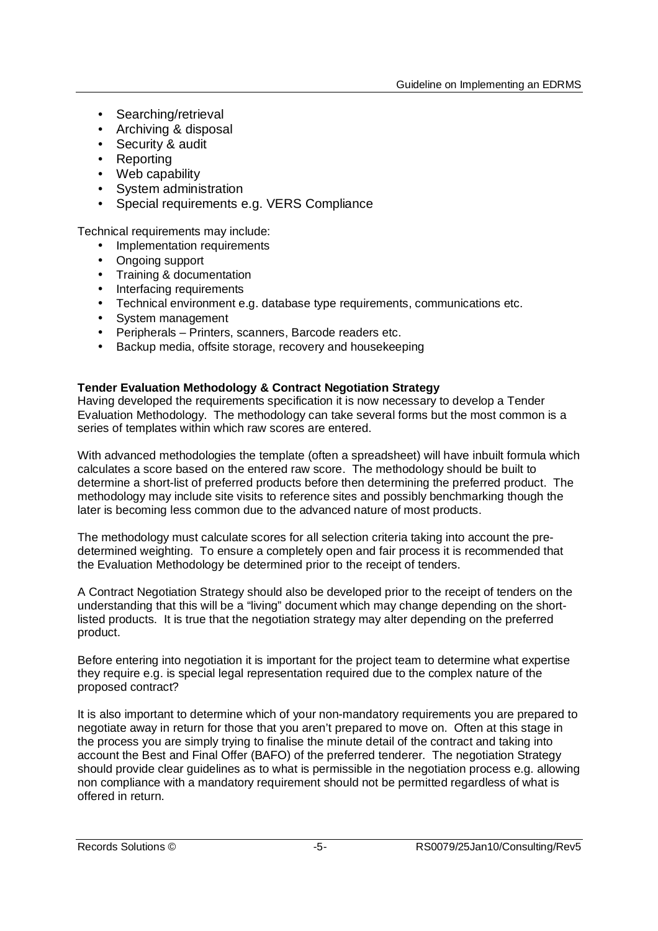- Searching/retrieval
- Archiving & disposal
- Security & audit
- Reporting
- Web capability
- System administration
- Special requirements e.g. VERS Compliance

Technical requirements may include:

- Implementation requirements
- Ongoing support
- Training & documentation
- Interfacing requirements
- Technical environment e.g. database type requirements, communications etc.
- System management
- Peripherals Printers, scanners, Barcode readers etc.
- Backup media, offsite storage, recovery and housekeeping

#### **Tender Evaluation Methodology & Contract Negotiation Strategy**

Having developed the requirements specification it is now necessary to develop a Tender Evaluation Methodology. The methodology can take several forms but the most common is a series of templates within which raw scores are entered.

With advanced methodologies the template (often a spreadsheet) will have inbuilt formula which calculates a score based on the entered raw score. The methodology should be built to determine a short-list of preferred products before then determining the preferred product. The methodology may include site visits to reference sites and possibly benchmarking though the later is becoming less common due to the advanced nature of most products.

The methodology must calculate scores for all selection criteria taking into account the predetermined weighting. To ensure a completely open and fair process it is recommended that the Evaluation Methodology be determined prior to the receipt of tenders.

A Contract Negotiation Strategy should also be developed prior to the receipt of tenders on the understanding that this will be a "living" document which may change depending on the shortlisted products. It is true that the negotiation strategy may alter depending on the preferred product.

Before entering into negotiation it is important for the project team to determine what expertise they require e.g. is special legal representation required due to the complex nature of the proposed contract?

It is also important to determine which of your non-mandatory requirements you are prepared to negotiate away in return for those that you aren't prepared to move on. Often at this stage in the process you are simply trying to finalise the minute detail of the contract and taking into account the Best and Final Offer (BAFO) of the preferred tenderer. The negotiation Strategy should provide clear guidelines as to what is permissible in the negotiation process e.g. allowing non compliance with a mandatory requirement should not be permitted regardless of what is offered in return.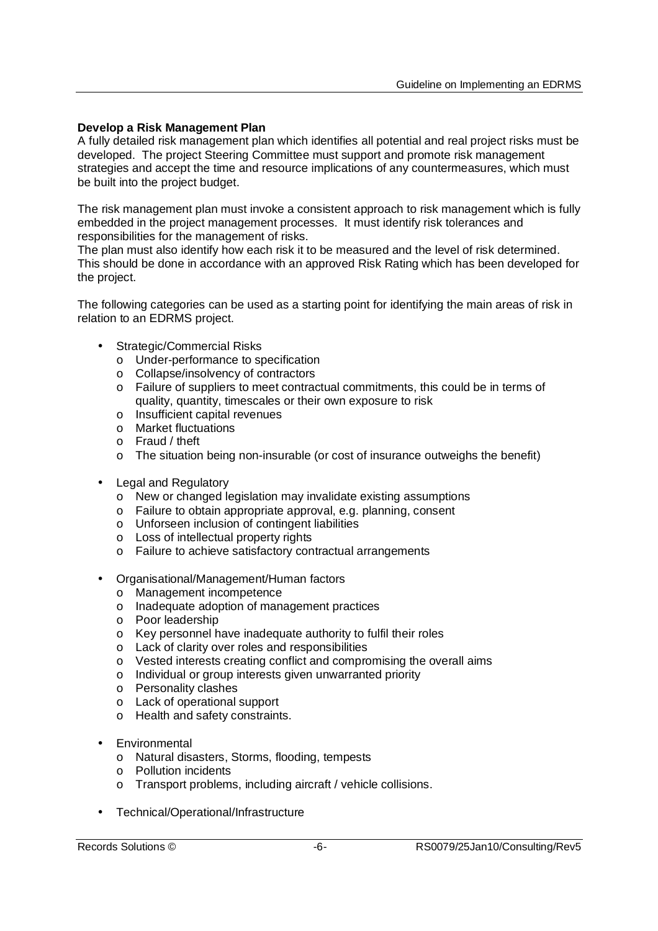## **Develop a Risk Management Plan**

A fully detailed risk management plan which identifies all potential and real project risks must be developed. The project Steering Committee must support and promote risk management strategies and accept the time and resource implications of any countermeasures, which must be built into the project budget.

The risk management plan must invoke a consistent approach to risk management which is fully embedded in the project management processes. It must identify risk tolerances and responsibilities for the management of risks.

The plan must also identify how each risk it to be measured and the level of risk determined. This should be done in accordance with an approved Risk Rating which has been developed for the project.

The following categories can be used as a starting point for identifying the main areas of risk in relation to an EDRMS project.

- Strategic/Commercial Risks
	- o Under-performance to specification
	- o Collapse/insolvency of contractors
	- o Failure of suppliers to meet contractual commitments, this could be in terms of quality, quantity, timescales or their own exposure to risk
	- o Insufficient capital revenues
	- o Market fluctuations
	- o Fraud / theft
	- o The situation being non-insurable (or cost of insurance outweighs the benefit)
- Legal and Regulatory
	- o New or changed legislation may invalidate existing assumptions
	- o Failure to obtain appropriate approval, e.g. planning, consent
	- o Unforseen inclusion of contingent liabilities
	- o Loss of intellectual property rights
	- o Failure to achieve satisfactory contractual arrangements
- Organisational/Management/Human factors
	- o Management incompetence
	- o Inadequate adoption of management practices
	- o Poor leadership
	- o Key personnel have inadequate authority to fulfil their roles
	- o Lack of clarity over roles and responsibilities
	- o Vested interests creating conflict and compromising the overall aims
	- o Individual or group interests given unwarranted priority
	- o Personality clashes
	- o Lack of operational support
	- o Health and safety constraints.
- **Environmental** 
	- o Natural disasters, Storms, flooding, tempests
	- o Pollution incidents
	- o Transport problems, including aircraft / vehicle collisions.
- Technical/Operational/Infrastructure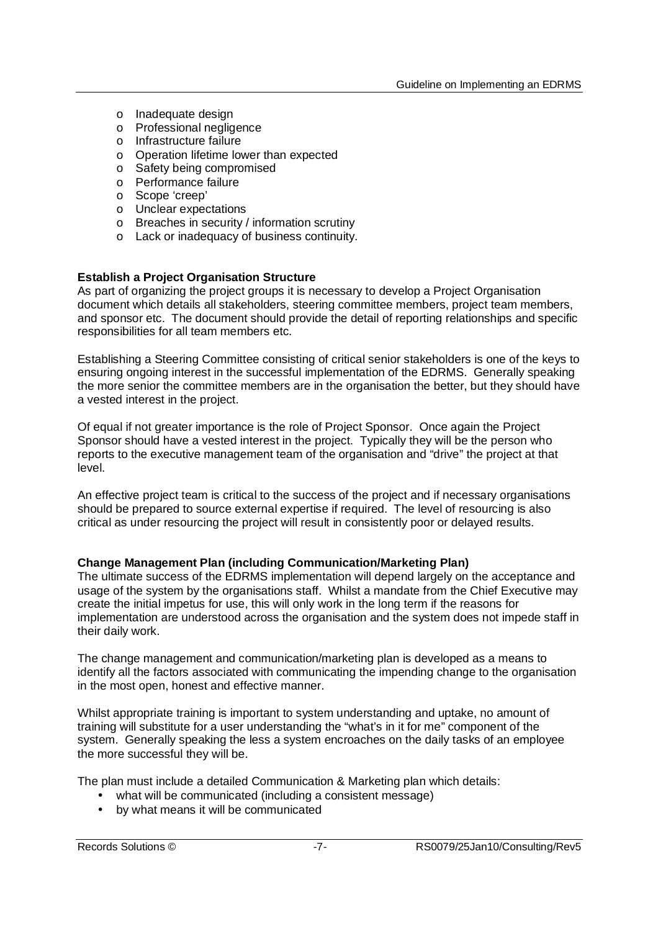- o Inadequate design
- o Professional negligence
- o Infrastructure failure
- o Operation lifetime lower than expected
- o Safety being compromised
- o Performance failure
- o Scope 'creep'
- o Unclear expectations
- o Breaches in security / information scrutiny
- o Lack or inadequacy of business continuity.

#### **Establish a Project Organisation Structure**

As part of organizing the project groups it is necessary to develop a Project Organisation document which details all stakeholders, steering committee members, project team members, and sponsor etc. The document should provide the detail of reporting relationships and specific responsibilities for all team members etc.

Establishing a Steering Committee consisting of critical senior stakeholders is one of the keys to ensuring ongoing interest in the successful implementation of the EDRMS. Generally speaking the more senior the committee members are in the organisation the better, but they should have a vested interest in the project.

Of equal if not greater importance is the role of Project Sponsor. Once again the Project Sponsor should have a vested interest in the project. Typically they will be the person who reports to the executive management team of the organisation and "drive" the project at that level.

An effective project team is critical to the success of the project and if necessary organisations should be prepared to source external expertise if required. The level of resourcing is also critical as under resourcing the project will result in consistently poor or delayed results.

#### **Change Management Plan (including Communication/Marketing Plan)**

The ultimate success of the EDRMS implementation will depend largely on the acceptance and usage of the system by the organisations staff. Whilst a mandate from the Chief Executive may create the initial impetus for use, this will only work in the long term if the reasons for implementation are understood across the organisation and the system does not impede staff in their daily work.

The change management and communication/marketing plan is developed as a means to identify all the factors associated with communicating the impending change to the organisation in the most open, honest and effective manner.

Whilst appropriate training is important to system understanding and uptake, no amount of training will substitute for a user understanding the "what's in it for me" component of the system. Generally speaking the less a system encroaches on the daily tasks of an employee the more successful they will be.

The plan must include a detailed Communication & Marketing plan which details:

- what will be communicated (including a consistent message)
- by what means it will be communicated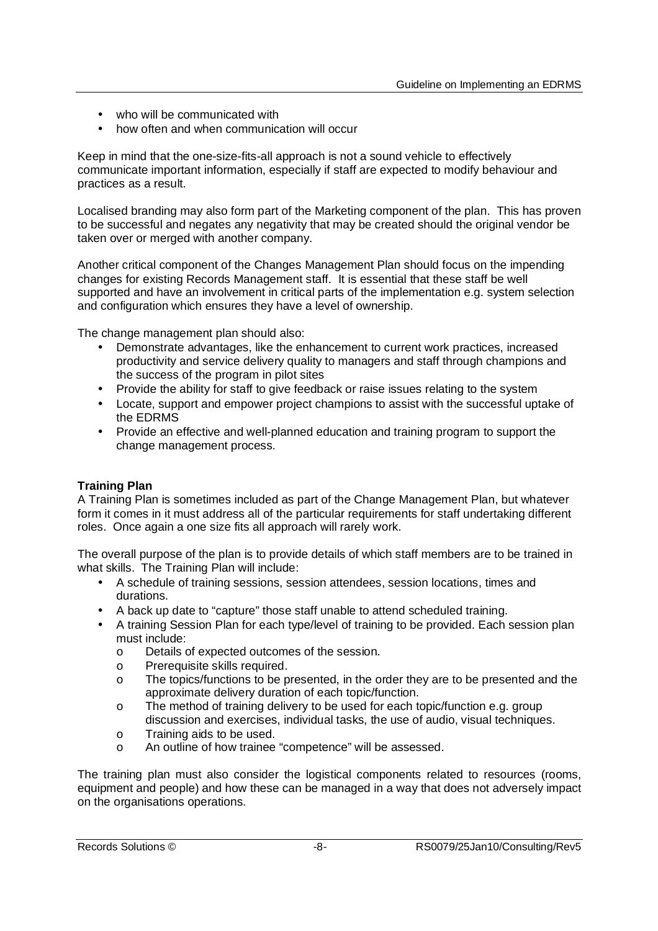- who will be communicated with
- how often and when communication will occur

Keep in mind that the one-size-fits-all approach is not a sound vehicle to effectively communicate important information, especially if staff are expected to modify behaviour and practices as a result.

Localised branding may also form part of the Marketing component of the plan. This has proven to be successful and negates any negativity that may be created should the original vendor be taken over or merged with another company.

Another critical component of the Changes Management Plan should focus on the impending changes for existing Records Management staff. It is essential that these staff be well supported and have an involvement in critical parts of the implementation e.g. system selection and configuration which ensures they have a level of ownership.

The change management plan should also:

- Demonstrate advantages, like the enhancement to current work practices, increased productivity and service delivery quality to managers and staff through champions and the success of the program in pilot sites
- Provide the ability for staff to give feedback or raise issues relating to the system
- Locate, support and empower project champions to assist with the successful uptake of the EDRMS
- Provide an effective and well-planned education and training program to support the change management process.

# **Training Plan**

A Training Plan is sometimes included as part of the Change Management Plan, but whatever form it comes in it must address all of the particular requirements for staff undertaking different roles. Once again a one size fits all approach will rarely work.

The overall purpose of the plan is to provide details of which staff members are to be trained in what skills. The Training Plan will include:

- A schedule of training sessions, session attendees, session locations, times and durations.
- A back up date to "capture" those staff unable to attend scheduled training.
- A training Session Plan for each type/level of training to be provided. Each session plan must include:
	- o Details of expected outcomes of the session.
	- o Prerequisite skills required.
	- o The topics/functions to be presented, in the order they are to be presented and the approximate delivery duration of each topic/function.
	- o The method of training delivery to be used for each topic/function e.g. group discussion and exercises, individual tasks, the use of audio, visual techniques.
	- o Training aids to be used.
	- o An outline of how trainee "competence" will be assessed.

The training plan must also consider the logistical components related to resources (rooms, equipment and people) and how these can be managed in a way that does not adversely impact on the organisations operations.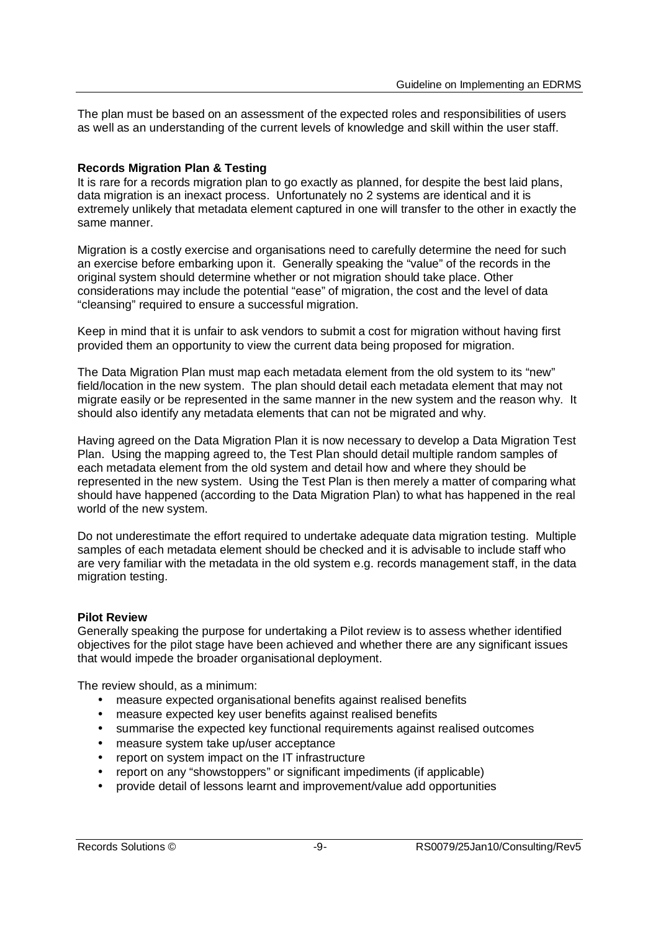The plan must be based on an assessment of the expected roles and responsibilities of users as well as an understanding of the current levels of knowledge and skill within the user staff.

#### **Records Migration Plan & Testing**

It is rare for a records migration plan to go exactly as planned, for despite the best laid plans, data migration is an inexact process. Unfortunately no 2 systems are identical and it is extremely unlikely that metadata element captured in one will transfer to the other in exactly the same manner.

Migration is a costly exercise and organisations need to carefully determine the need for such an exercise before embarking upon it. Generally speaking the "value" of the records in the original system should determine whether or not migration should take place. Other considerations may include the potential "ease" of migration, the cost and the level of data "cleansing" required to ensure a successful migration.

Keep in mind that it is unfair to ask vendors to submit a cost for migration without having first provided them an opportunity to view the current data being proposed for migration.

The Data Migration Plan must map each metadata element from the old system to its "new" field/location in the new system. The plan should detail each metadata element that may not migrate easily or be represented in the same manner in the new system and the reason why. It should also identify any metadata elements that can not be migrated and why.

Having agreed on the Data Migration Plan it is now necessary to develop a Data Migration Test Plan. Using the mapping agreed to, the Test Plan should detail multiple random samples of each metadata element from the old system and detail how and where they should be represented in the new system. Using the Test Plan is then merely a matter of comparing what should have happened (according to the Data Migration Plan) to what has happened in the real world of the new system.

Do not underestimate the effort required to undertake adequate data migration testing. Multiple samples of each metadata element should be checked and it is advisable to include staff who are very familiar with the metadata in the old system e.g. records management staff, in the data migration testing.

#### **Pilot Review**

Generally speaking the purpose for undertaking a Pilot review is to assess whether identified objectives for the pilot stage have been achieved and whether there are any significant issues that would impede the broader organisational deployment.

The review should, as a minimum:

- measure expected organisational benefits against realised benefits
- measure expected key user benefits against realised benefits
- summarise the expected key functional requirements against realised outcomes
- measure system take up/user acceptance
- report on system impact on the IT infrastructure
- report on any "showstoppers" or significant impediments (if applicable)
- provide detail of lessons learnt and improvement/value add opportunities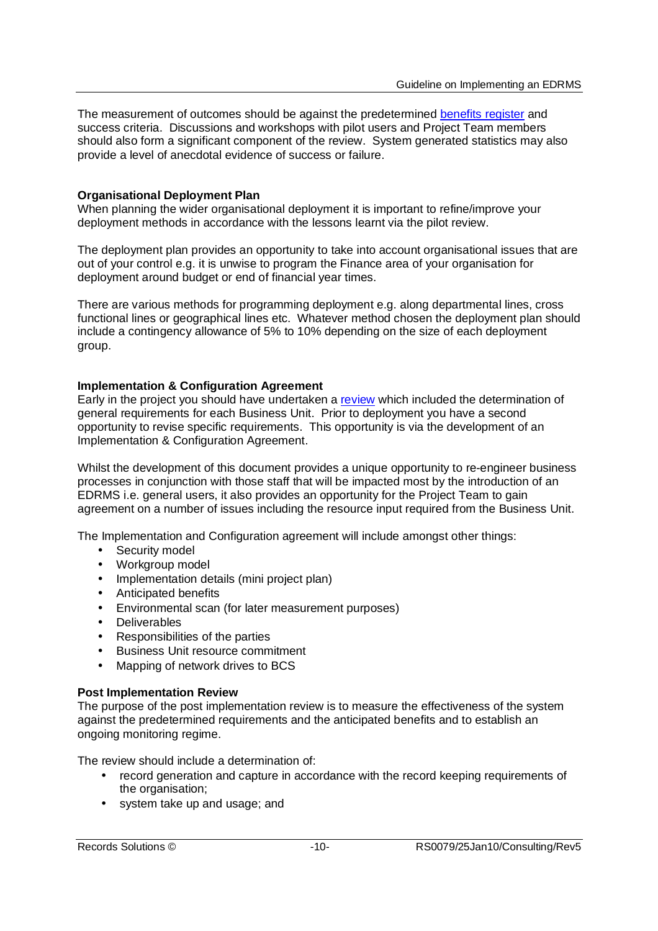The measurement of outcomes should be against the predetermined benefits register and success criteria. Discussions and workshops with pilot users and Project Team members should also form a significant component of the review. System generated statistics may also provide a level of anecdotal evidence of success or failure.

#### **Organisational Deployment Plan**

When planning the wider organisational deployment it is important to refine/improve your deployment methods in accordance with the lessons learnt via the pilot review.

The deployment plan provides an opportunity to take into account organisational issues that are out of your control e.g. it is unwise to program the Finance area of your organisation for deployment around budget or end of financial year times.

There are various methods for programming deployment e.g. along departmental lines, cross functional lines or geographical lines etc. Whatever method chosen the deployment plan should include a contingency allowance of 5% to 10% depending on the size of each deployment group.

#### **Implementation & Configuration Agreement**

Early in the project you should have undertaken a review which included the determination of general requirements for each Business Unit. Prior to deployment you have a second opportunity to revise specific requirements. This opportunity is via the development of an Implementation & Configuration Agreement.

Whilst the development of this document provides a unique opportunity to re-engineer business processes in conjunction with those staff that will be impacted most by the introduction of an EDRMS i.e. general users, it also provides an opportunity for the Project Team to gain agreement on a number of issues including the resource input required from the Business Unit.

The Implementation and Configuration agreement will include amongst other things:

- Security model
- Workgroup model
- Implementation details (mini project plan)
- Anticipated benefits
- Environmental scan (for later measurement purposes)
- Deliverables
- Responsibilities of the parties
- Business Unit resource commitment
- Mapping of network drives to BCS

#### **Post Implementation Review**

The purpose of the post implementation review is to measure the effectiveness of the system against the predetermined requirements and the anticipated benefits and to establish an ongoing monitoring regime.

The review should include a determination of:

- record generation and capture in accordance with the record keeping requirements of the organisation;
- system take up and usage; and